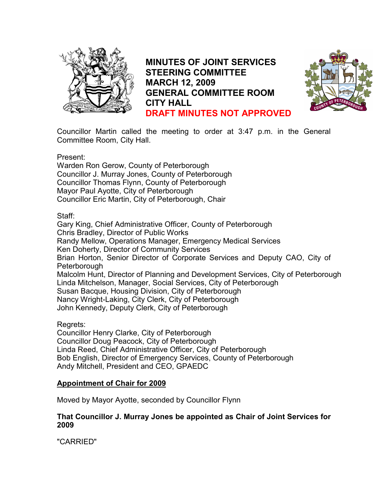

MINUTES OF JOINT SERVICES STEERING COMMITTEE MARCH 12, 2009 GENERAL COMMITTEE ROOM CITY HALL DRAFT MINUTES NOT APPROVED



Councillor Martin called the meeting to order at 3:47 p.m. in the General Committee Room, City Hall.

Present:

Warden Ron Gerow, County of Peterborough Councillor J. Murray Jones, County of Peterborough Councillor Thomas Flynn, County of Peterborough Mayor Paul Ayotte, City of Peterborough Councillor Eric Martin, City of Peterborough, Chair

Staff:

Gary King, Chief Administrative Officer, County of Peterborough Chris Bradley, Director of Public Works Randy Mellow, Operations Manager, Emergency Medical Services Ken Doherty, Director of Community Services Brian Horton, Senior Director of Corporate Services and Deputy CAO, City of Peterborough Malcolm Hunt, Director of Planning and Development Services, City of Peterborough Linda Mitchelson, Manager, Social Services, City of Peterborough Susan Bacque, Housing Division, City of Peterborough Nancy Wright-Laking, City Clerk, City of Peterborough John Kennedy, Deputy Clerk, City of Peterborough

Regrets:

Councillor Henry Clarke, City of Peterborough Councillor Doug Peacock, City of Peterborough Linda Reed, Chief Administrative Officer, City of Peterborough Bob English, Director of Emergency Services, County of Peterborough Andy Mitchell, President and CEO, GPAEDC

# Appointment of Chair for 2009

Moved by Mayor Ayotte, seconded by Councillor Flynn

# That Councillor J. Murray Jones be appointed as Chair of Joint Services for 2009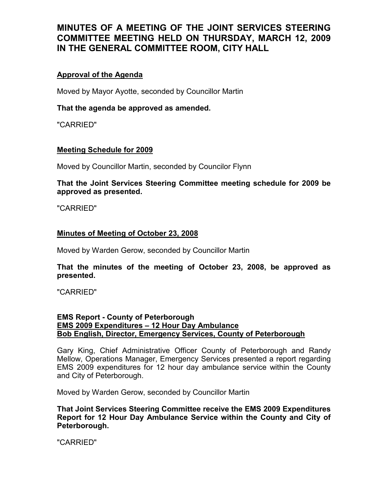# Approval of the Agenda

Moved by Mayor Ayotte, seconded by Councillor Martin

# That the agenda be approved as amended.

"CARRIED"

### Meeting Schedule for 2009

Moved by Councillor Martin, seconded by Councilor Flynn

That the Joint Services Steering Committee meeting schedule for 2009 be approved as presented.

"CARRIED"

### Minutes of Meeting of October 23, 2008

Moved by Warden Gerow, seconded by Councillor Martin

# That the minutes of the meeting of October 23, 2008, be approved as presented.

"CARRIED"

### EMS Report - County of Peterborough EMS 2009 Expenditures – 12 Hour Day Ambulance Bob English, Director, Emergency Services, County of Peterborough

Gary King, Chief Administrative Officer County of Peterborough and Randy Mellow, Operations Manager, Emergency Services presented a report regarding EMS 2009 expenditures for 12 hour day ambulance service within the County and City of Peterborough.

Moved by Warden Gerow, seconded by Councillor Martin

That Joint Services Steering Committee receive the EMS 2009 Expenditures Report for 12 Hour Day Ambulance Service within the County and City of Peterborough.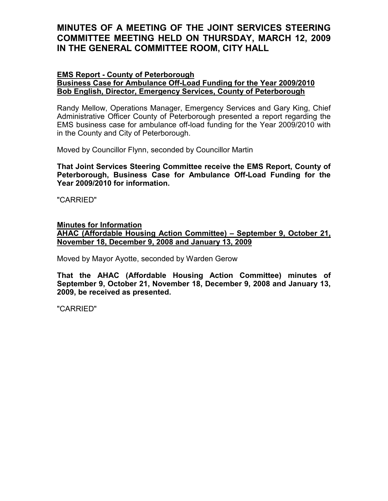# EMS Report - County of Peterborough

## Business Case for Ambulance Off-Load Funding for the Year 2009/2010 Bob English, Director, Emergency Services, County of Peterborough

Randy Mellow, Operations Manager, Emergency Services and Gary King, Chief Administrative Officer County of Peterborough presented a report regarding the EMS business case for ambulance off-load funding for the Year 2009/2010 with in the County and City of Peterborough.

Moved by Councillor Flynn, seconded by Councillor Martin

That Joint Services Steering Committee receive the EMS Report, County of Peterborough, Business Case for Ambulance Off-Load Funding for the Year 2009/2010 for information.

"CARRIED"

### Minutes for Information

AHAC (Affordable Housing Action Committee) – September 9, October 21, November 18, December 9, 2008 and January 13, 2009

Moved by Mayor Ayotte, seconded by Warden Gerow

That the AHAC (Affordable Housing Action Committee) minutes of September 9, October 21, November 18, December 9, 2008 and January 13, 2009, be received as presented.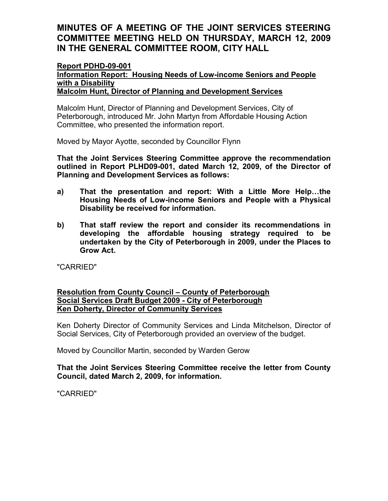#### Report PDHD-09-001 Information Report: Housing Needs of Low-income Seniors and People with a Disability Malcolm Hunt, Director of Planning and Development Services

Malcolm Hunt, Director of Planning and Development Services, City of Peterborough, introduced Mr. John Martyn from Affordable Housing Action Committee, who presented the information report.

Moved by Mayor Ayotte, seconded by Councillor Flynn

That the Joint Services Steering Committee approve the recommendation outlined in Report PLHD09-001, dated March 12, 2009, of the Director of Planning and Development Services as follows:

- a) That the presentation and report: With a Little More Help…the Housing Needs of Low-income Seniors and People with a Physical Disability be received for information.
- b) That staff review the report and consider its recommendations in developing the affordable housing strategy required to be undertaken by the City of Peterborough in 2009, under the Places to Grow Act.

"CARRIED"

# Resolution from County Council – County of Peterborough Social Services Draft Budget 2009 - City of Peterborough Ken Doherty, Director of Community Services

Ken Doherty Director of Community Services and Linda Mitchelson, Director of Social Services, City of Peterborough provided an overview of the budget.

Moved by Councillor Martin, seconded by Warden Gerow

# That the Joint Services Steering Committee receive the letter from County Council, dated March 2, 2009, for information.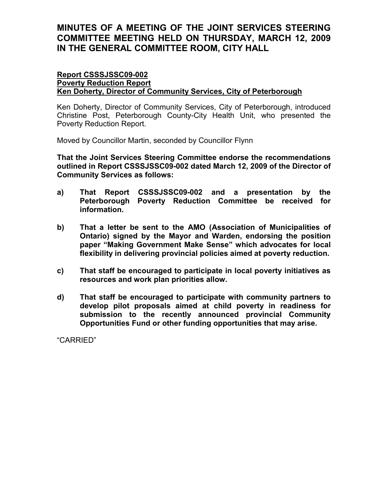#### Report CSSSJSSC09-002 Poverty Reduction Report Ken Doherty, Director of Community Services, City of Peterborough

Ken Doherty, Director of Community Services, City of Peterborough, introduced Christine Post, Peterborough County-City Health Unit, who presented the Poverty Reduction Report.

Moved by Councillor Martin, seconded by Councillor Flynn

That the Joint Services Steering Committee endorse the recommendations outlined in Report CSSSJSSC09-002 dated March 12, 2009 of the Director of Community Services as follows:

- a) That Report CSSSJSSC09-002 and a presentation by the Peterborough Poverty Reduction Committee be received for information.
- b) That a letter be sent to the AMO (Association of Municipalities of Ontario) signed by the Mayor and Warden, endorsing the position paper "Making Government Make Sense" which advocates for local flexibility in delivering provincial policies aimed at poverty reduction.
- c) That staff be encouraged to participate in local poverty initiatives as resources and work plan priorities allow.
- d) That staff be encouraged to participate with community partners to develop pilot proposals aimed at child poverty in readiness for submission to the recently announced provincial Community Opportunities Fund or other funding opportunities that may arise.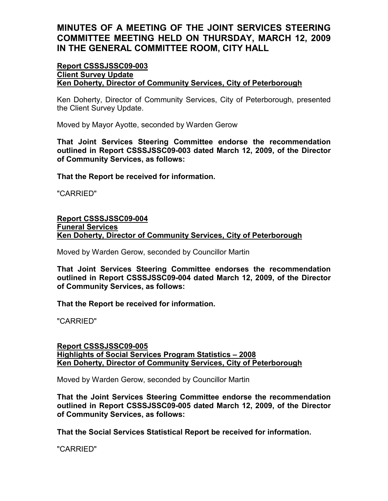### Report CSSSJSSC09-003 Client Survey Update Ken Doherty, Director of Community Services, City of Peterborough

Ken Doherty, Director of Community Services, City of Peterborough, presented the Client Survey Update.

Moved by Mayor Ayotte, seconded by Warden Gerow

That Joint Services Steering Committee endorse the recommendation outlined in Report CSSSJSSC09-003 dated March 12, 2009, of the Director of Community Services, as follows:

That the Report be received for information.

"CARRIED"

# Report CSSSJSSC09-004 Funeral Services Ken Doherty, Director of Community Services, City of Peterborough

Moved by Warden Gerow, seconded by Councillor Martin

That Joint Services Steering Committee endorses the recommendation outlined in Report CSSSJSSC09-004 dated March 12, 2009, of the Director of Community Services, as follows:

That the Report be received for information.

"CARRIED"

### Report CSSSJSSC09-005 Highlights of Social Services Program Statistics – 2008 Ken Doherty, Director of Community Services, City of Peterborough

Moved by Warden Gerow, seconded by Councillor Martin

That the Joint Services Steering Committee endorse the recommendation outlined in Report CSSSJSSC09-005 dated March 12, 2009, of the Director of Community Services, as follows:

That the Social Services Statistical Report be received for information.